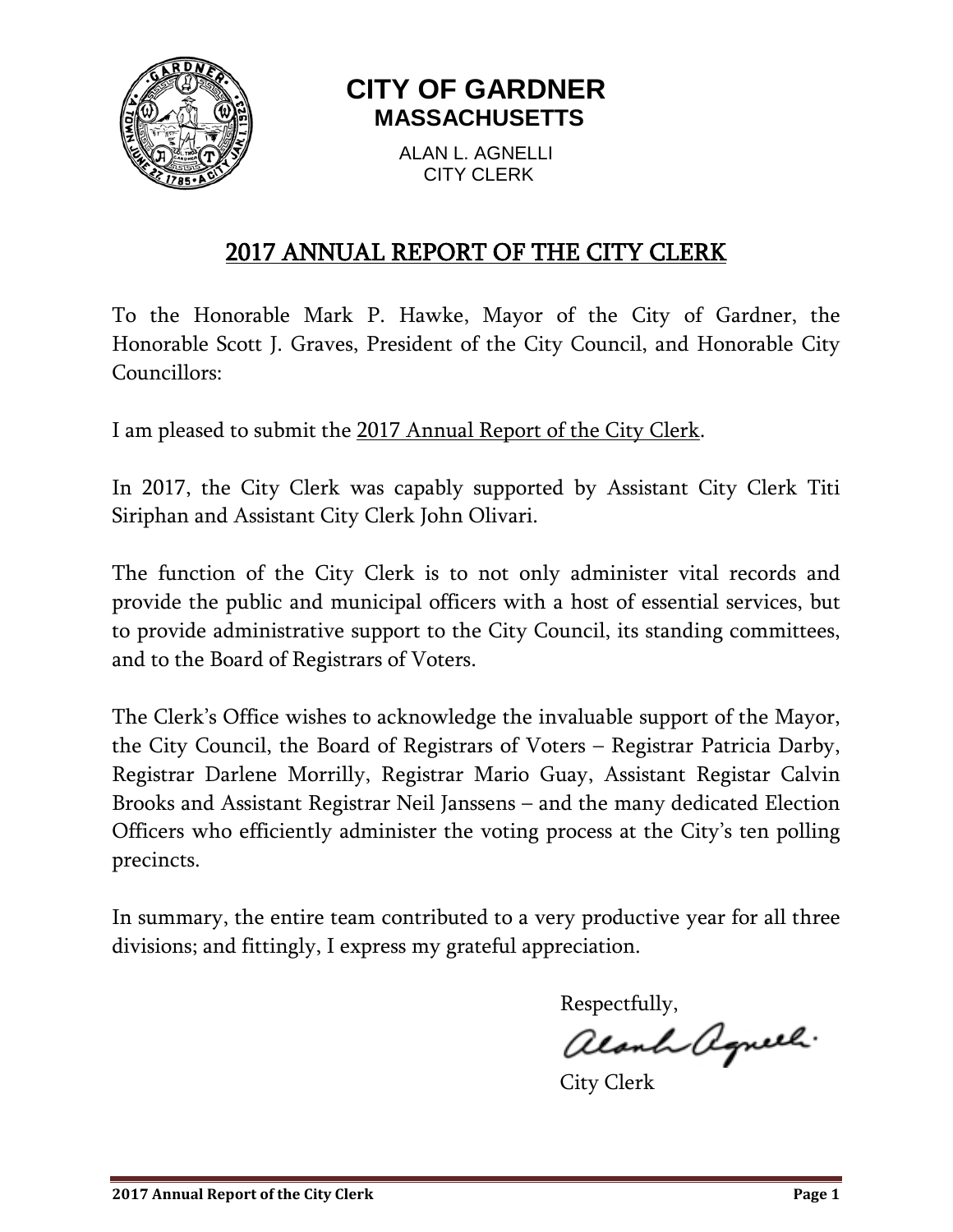

# **CITY OF GARDNER MASSACHUSETTS**

ALAN L. AGNELLI CITY CLERK

## 2017 ANNUAL REPORT OF THE CITY CLERK

To the Honorable Mark P. Hawke, Mayor of the City of Gardner, the Honorable Scott J. Graves, President of the City Council, and Honorable City Councillors:

I am pleased to submit the 2017 Annual Report of the City Clerk.

In 2017, the City Clerk was capably supported by Assistant City Clerk Titi Siriphan and Assistant City Clerk John Olivari.

The function of the City Clerk is to not only administer vital records and provide the public and municipal officers with a host of essential services, but to provide administrative support to the City Council, its standing committees, and to the Board of Registrars of Voters.

The Clerk's Office wishes to acknowledge the invaluable support of the Mayor, the City Council, the Board of Registrars of Voters – Registrar Patricia Darby, Registrar Darlene Morrilly, Registrar Mario Guay, Assistant Registar Calvin Brooks and Assistant Registrar Neil Janssens – and the many dedicated Election Officers who efficiently administer the voting process at the City's ten polling precincts.

In summary, the entire team contributed to a very productive year for all three divisions; and fittingly, I express my grateful appreciation.

Respectfully,

alanh agneel.

City Clerk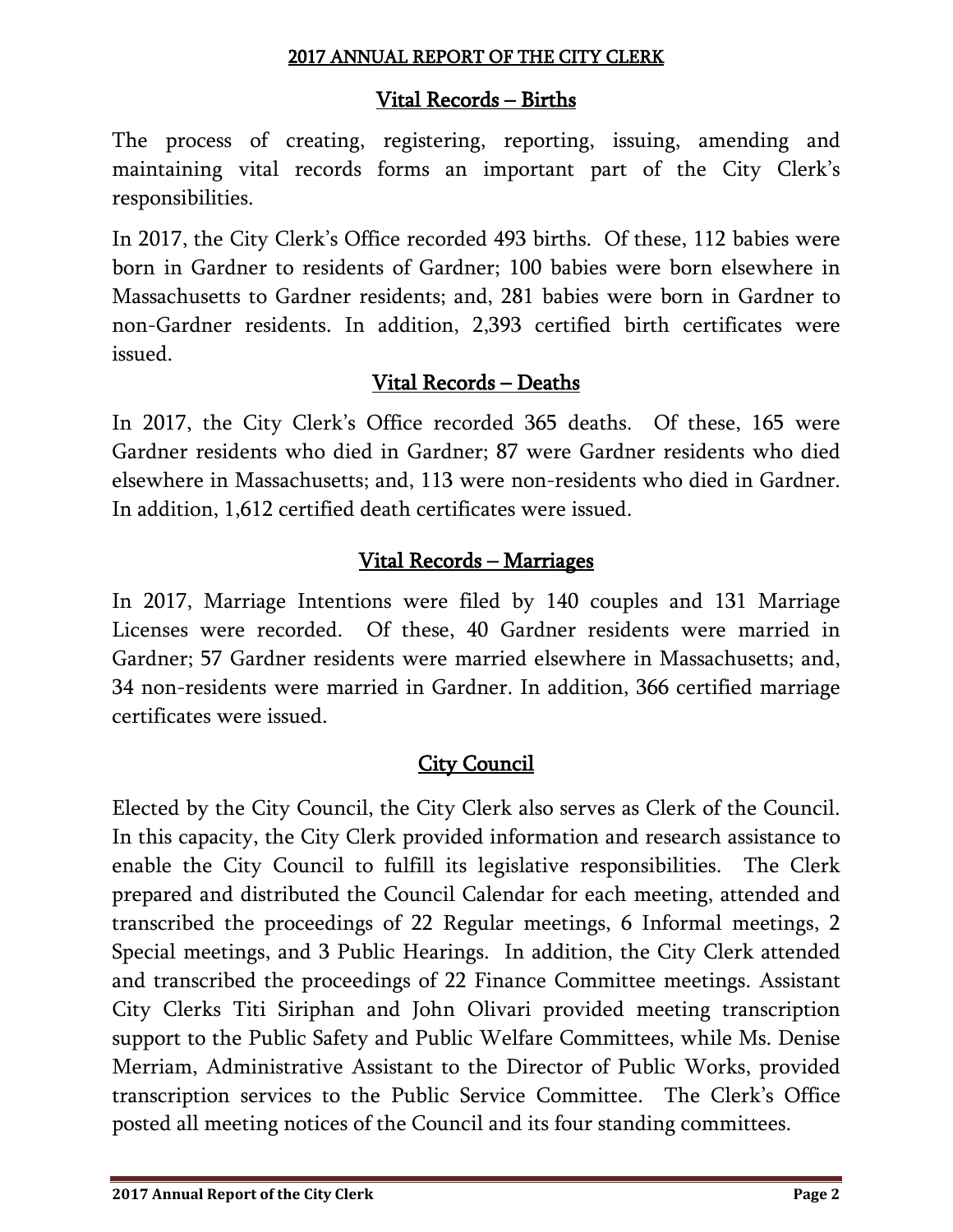### Vital Records – Births

The process of creating, registering, reporting, issuing, amending and maintaining vital records forms an important part of the City Clerk's responsibilities.

In 2017, the City Clerk's Office recorded 493 births. Of these, 112 babies were born in Gardner to residents of Gardner; 100 babies were born elsewhere in Massachusetts to Gardner residents; and, 281 babies were born in Gardner to non-Gardner residents. In addition, 2,393 certified birth certificates were issued.

## Vital Records – Deaths

In 2017, the City Clerk's Office recorded 365 deaths. Of these, 165 were Gardner residents who died in Gardner; 87 were Gardner residents who died elsewhere in Massachusetts; and, 113 were non-residents who died in Gardner. In addition, 1,612 certified death certificates were issued.

## Vital Records – Marriages

In 2017, Marriage Intentions were filed by 140 couples and 131 Marriage Licenses were recorded. Of these, 40 Gardner residents were married in Gardner; 57 Gardner residents were married elsewhere in Massachusetts; and, 34 non-residents were married in Gardner. In addition, 366 certified marriage certificates were issued.

## **City Council**

Elected by the City Council, the City Clerk also serves as Clerk of the Council. In this capacity, the City Clerk provided information and research assistance to enable the City Council to fulfill its legislative responsibilities. The Clerk prepared and distributed the Council Calendar for each meeting, attended and transcribed the proceedings of 22 Regular meetings, 6 Informal meetings, 2 Special meetings, and 3 Public Hearings. In addition, the City Clerk attended and transcribed the proceedings of 22 Finance Committee meetings. Assistant City Clerks Titi Siriphan and John Olivari provided meeting transcription support to the Public Safety and Public Welfare Committees, while Ms. Denise Merriam, Administrative Assistant to the Director of Public Works, provided transcription services to the Public Service Committee. The Clerk's Office posted all meeting notices of the Council and its four standing committees.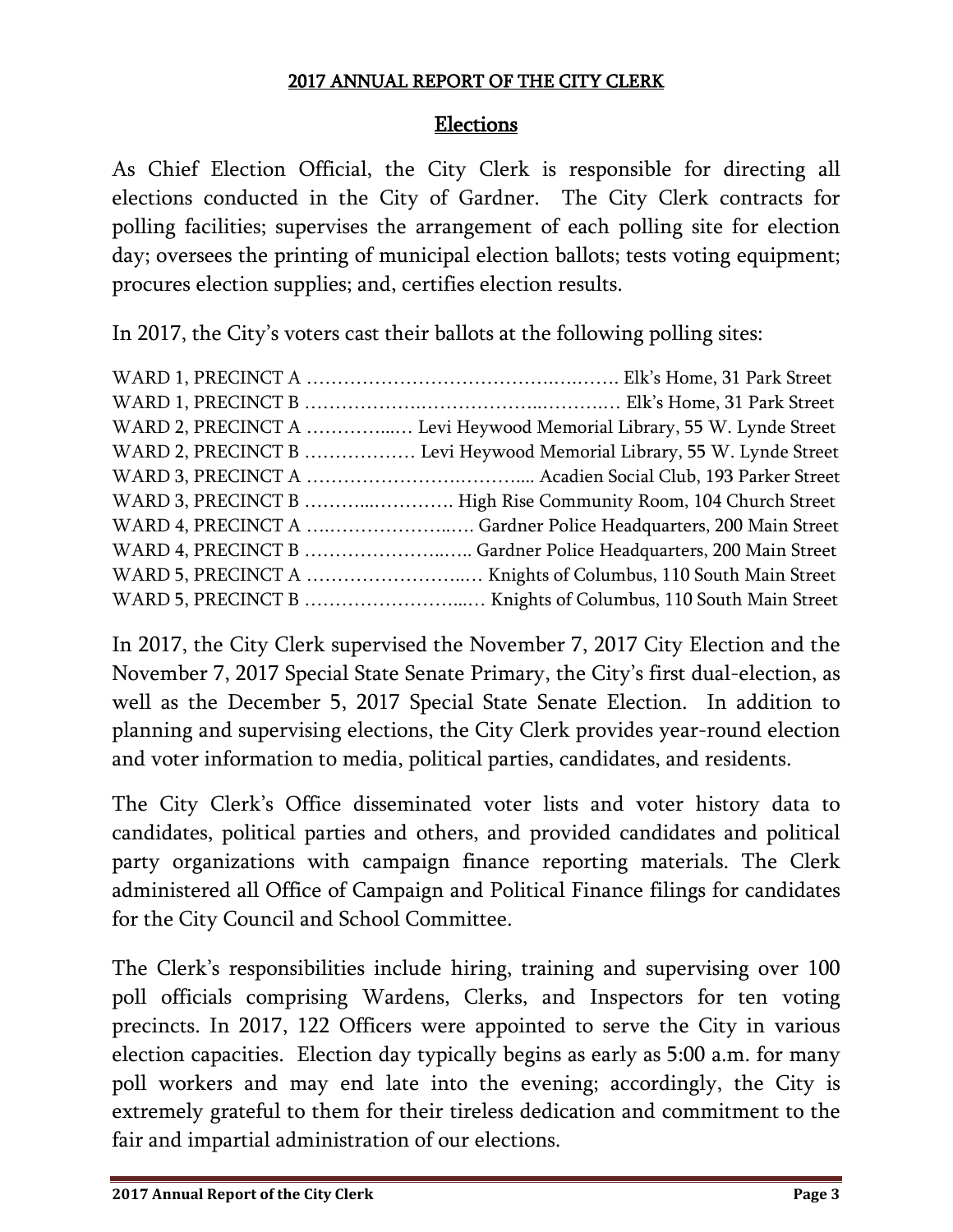### Elections

As Chief Election Official, the City Clerk is responsible for directing all elections conducted in the City of Gardner. The City Clerk contracts for polling facilities; supervises the arrangement of each polling site for election day; oversees the printing of municipal election ballots; tests voting equipment; procures election supplies; and, certifies election results.

In 2017, the City's voters cast their ballots at the following polling sites:

| WARD 2, PRECINCT A  Levi Heywood Memorial Library, 55 W. Lynde Street |
|-----------------------------------------------------------------------|
| WARD 2, PRECINCT B  Levi Heywood Memorial Library, 55 W. Lynde Street |
|                                                                       |
| WARD 3, PRECINCT B  High Rise Community Room, 104 Church Street       |
|                                                                       |
|                                                                       |
|                                                                       |
|                                                                       |

In 2017, the City Clerk supervised the November 7, 2017 City Election and the November 7, 2017 Special State Senate Primary, the City's first dual-election, as well as the December 5, 2017 Special State Senate Election. In addition to planning and supervising elections, the City Clerk provides year-round election and voter information to media, political parties, candidates, and residents.

The City Clerk's Office disseminated voter lists and voter history data to candidates, political parties and others, and provided candidates and political party organizations with campaign finance reporting materials. The Clerk administered all Office of Campaign and Political Finance filings for candidates for the City Council and School Committee.

The Clerk's responsibilities include hiring, training and supervising over 100 poll officials comprising Wardens, Clerks, and Inspectors for ten voting precincts. In 2017, 122 Officers were appointed to serve the City in various election capacities. Election day typically begins as early as 5:00 a.m. for many poll workers and may end late into the evening; accordingly, the City is extremely grateful to them for their tireless dedication and commitment to the fair and impartial administration of our elections.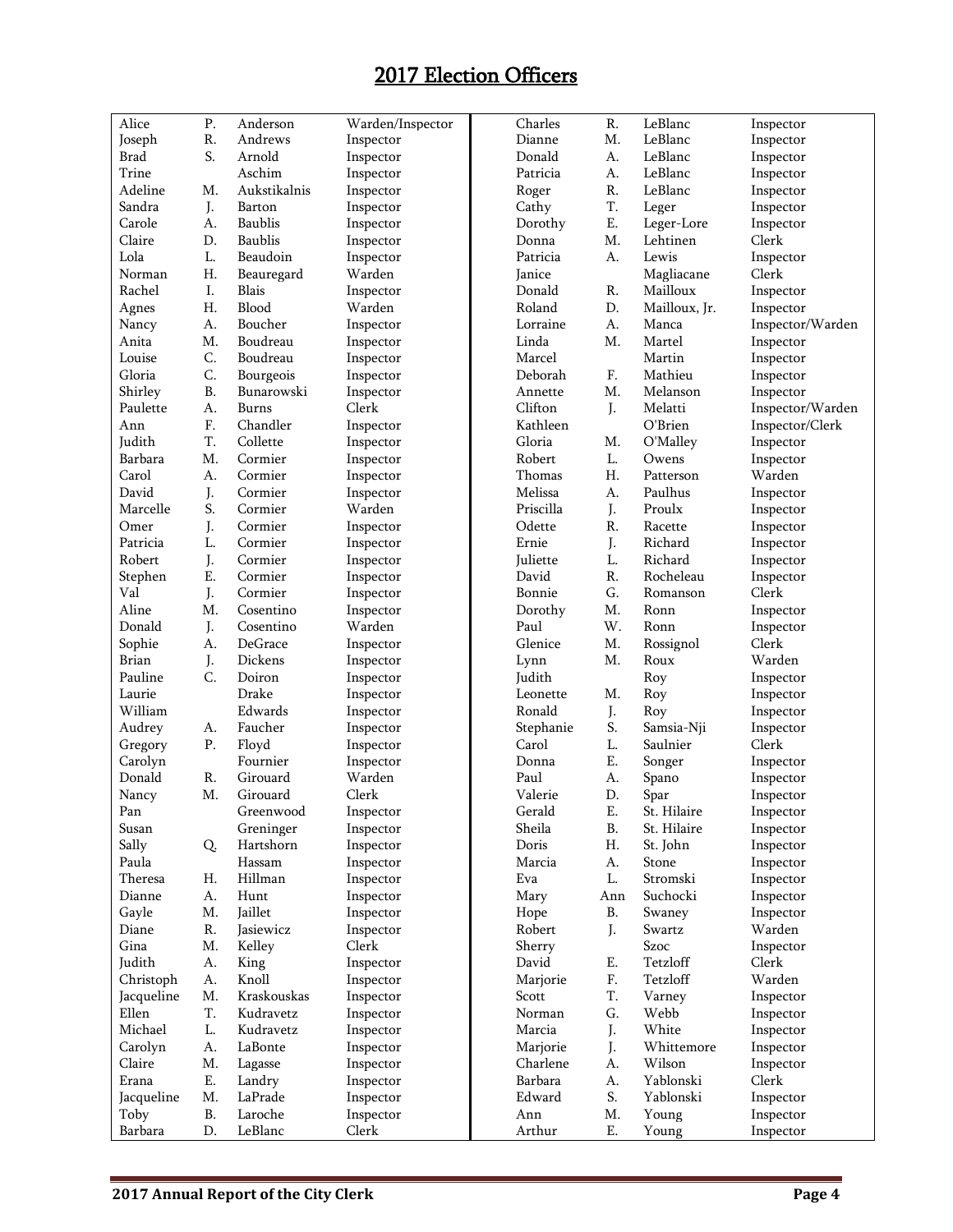## 2017 Election Officers

| Alice                            | P.         | Anderson       | Warden/Inspector   | Charles   | R.        | LeBlanc       | Inspector        |
|----------------------------------|------------|----------------|--------------------|-----------|-----------|---------------|------------------|
| Joseph                           | ${\bf R}.$ | Andrews        | Inspector          | Dianne    | M.        | LeBlanc       | Inspector        |
| Brad                             | S.         | Arnold         | Inspector          | Donald    | A.        | LeBlanc       | Inspector        |
| Trine                            |            | Aschim         | Inspector          | Patricia  | A.        | LeBlanc       | Inspector        |
| Adeline                          | M.         | Aukstikalnis   | Inspector          | Roger     | R.        | LeBlanc       | Inspector        |
| Sandra                           | J.         | Barton         | Inspector          | Cathy     | T.        | Leger         | Inspector        |
| Carole                           | A.         | <b>Baublis</b> | Inspector          | Dorothy   | Ε.        | Leger-Lore    | Inspector        |
| Claire                           | D.         | <b>Baublis</b> | Inspector          | Donna     | M.        | Lehtinen      | Clerk            |
| Lola                             | L.         | Beaudoin       | Inspector          | Patricia  | A.        | Lewis         | Inspector        |
| Norman                           | Η.         | Beauregard     | Warden             | Janice    |           | Magliacane    | Clerk            |
| Rachel                           | Ι.         | <b>Blais</b>   | Inspector          | Donald    | R.        | Mailloux      | Inspector        |
| Agnes                            | Η.         | Blood          | Warden             | Roland    | D.        | Mailloux, Jr. | Inspector        |
| Nancy                            | A.         | Boucher        | Inspector          | Lorraine  | A.        | Manca         | Inspector/Warden |
| Anita                            | M.         | Boudreau       | Inspector          | Linda     | Μ.        | Martel        | Inspector        |
| Louise                           | C.         | Boudreau       | Inspector          | Marcel    |           | Martin        | Inspector        |
| Gloria                           | C.         | Bourgeois      | Inspector          | Deborah   | F.        | Mathieu       | Inspector        |
| Shirley                          | <b>B.</b>  | Bunarowski     |                    | Annette   | M.        | Melanson      |                  |
| Paulette                         |            |                | Inspector<br>Clerk | Clifton   |           | Melatti       | Inspector        |
|                                  | A.         | Burns          |                    |           | J.        | O'Brien       | Inspector/Warden |
| Ann                              | F.         | Chandler       | Inspector          | Kathleen  |           |               | Inspector/Clerk  |
| Judith                           | T.         | Collette       | Inspector          | Gloria    | M.        | O'Malley      | Inspector        |
| Barbara                          | M.         | Cormier        | Inspector          | Robert    | L.        | Owens         | Inspector        |
| Carol                            | A.         | Cormier        | Inspector          | Thomas    | Η.        | Patterson     | Warden           |
| David                            | J.         | Cormier        | Inspector          | Melissa   | A.        | Paulhus       | Inspector        |
| Marcelle                         | S.         | Cormier        | Warden             | Priscilla | J.        | Proulx        | Inspector        |
| Omer                             | J.         | Cormier        | Inspector          | Odette    | R.        | Racette       | Inspector        |
| Patricia                         | L.         | Cormier        | Inspector          | Ernie     | J.        | Richard       | Inspector        |
| Robert                           | J.         | Cormier        | Inspector          | Juliette  | L.        | Richard       | Inspector        |
| Stephen                          | E.         | Cormier        | Inspector          | David     | R.        | Rocheleau     | Inspector        |
| Val                              | J.         | Cormier        | Inspector          | Bonnie    | G.        | Romanson      | Clerk            |
| Aline                            | M.         | Cosentino      | Inspector          | Dorothy   | M.        | Ronn          | Inspector        |
| Donald                           | J.         | Cosentino      | Warden             | Paul      | W.        | Ronn          | Inspector        |
| Sophie                           | A.         | DeGrace        | Inspector          | Glenice   | M.        | Rossignol     | Clerk            |
| <b>Brian</b>                     | J.         | Dickens        | Inspector          | Lynn      | M.        | Roux          | Warden           |
| Pauline                          | C.         | Doiron         | Inspector          | Judith    |           | Roy           | Inspector        |
| Laurie                           |            | Drake          | Inspector          | Leonette  | M.        | Roy           | Inspector        |
| William                          |            | Edwards        | Inspector          | Ronald    | J.        | Roy           | Inspector        |
| Audrey                           | А.         | Faucher        | Inspector          | Stephanie | S.        | Samsia-Nji    | Inspector        |
| Gregory                          | ${\bf P}.$ | Floyd          | Inspector          | Carol     | L.        | Saulnier      | Clerk            |
| Carolyn                          |            | Fournier       | Inspector          | Donna     | Ε.        | Songer        | Inspector        |
| Donald                           | R.         | Girouard       | Warden             | Paul      | A.        | Spano         | Inspector        |
| Nancy                            | M.         | Girouard       | Clerk              | Valerie   | D.        | Spar          | Inspector        |
| $\mathop{\mathrm{Pan}}\nolimits$ |            | Greenwood      | Inspector          | Gerald    | E.        | St. Hilaire   | Inspector        |
| Susan                            |            | Greninger      | Inspector          | Sheila    | B.        | St. Hilaire   | Inspector        |
| Sally                            | Q.         | Hartshorn      | Inspector          | Doris     | Η.        | St. John      | Inspector        |
| Paula                            |            | Hassam         | Inspector          | Marcia    | А.        | Stone         | Inspector        |
| Theresa                          | Н.         | Hillman        | Inspector          | Eva       | L.        | Stromski      | Inspector        |
| Dianne                           | A.         | Hunt           | Inspector          | Mary      | Ann       | Suchocki      | Inspector        |
| Gayle                            | M.         | Jaillet        | Inspector          | Hope      | <b>B.</b> | Swaney        | Inspector        |
| Diane                            | R.         | Jasiewicz      | Inspector          | Robert    | J.        | Swartz        | Warden           |
| Gina                             | M.         | Kelley         | Clerk              | Sherry    |           | Szoc          | Inspector        |
| Judith                           | A.         | King           | Inspector          | David     | Ε.        | Tetzloff      | Clerk            |
| Christoph                        | A.         | Knoll          | Inspector          | Marjorie  | F.        | Tetzloff      | Warden           |
| Jacqueline                       | M.         | Kraskouskas    | Inspector          | Scott     | T.        | Varney        | Inspector        |
| Ellen                            | T.         | Kudravetz      | Inspector          | Norman    | G.        | Webb          | Inspector        |
| Michael                          | L.         | Kudravetz      | Inspector          | Marcia    | J.        | White         | Inspector        |
| Carolyn                          | А.         | LaBonte        | Inspector          | Marjorie  | J.        | Whittemore    | Inspector        |
| Claire                           | M.         | Lagasse        | Inspector          | Charlene  | А.        | Wilson        | Inspector        |
| Erana                            | Ε.         | Landry         | Inspector          | Barbara   | А.        | Yablonski     | Clerk            |
| Jacqueline                       | M.         | LaPrade        | Inspector          | Edward    | S.        | Yablonski     | Inspector        |
| Toby                             | B.         | Laroche        |                    | Ann       | M.        | Young         | Inspector        |
|                                  | D.         | LeBlanc        | Inspector          |           |           |               |                  |
| Barbara                          |            |                | Clerk              | Arthur    | Ε.        | Young         | Inspector        |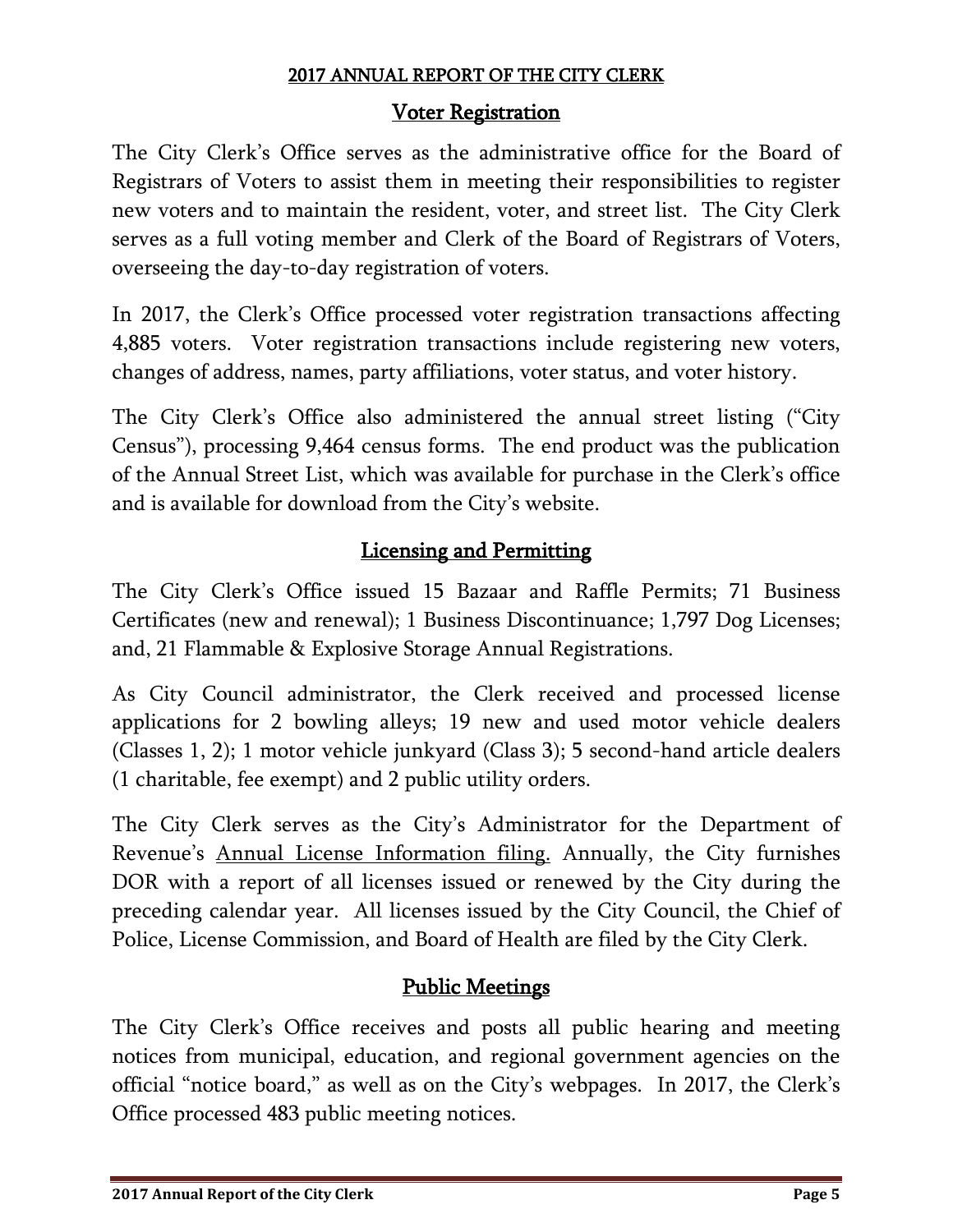### Voter Registration

The City Clerk's Office serves as the administrative office for the Board of Registrars of Voters to assist them in meeting their responsibilities to register new voters and to maintain the resident, voter, and street list. The City Clerk serves as a full voting member and Clerk of the Board of Registrars of Voters, overseeing the day-to-day registration of voters.

In 2017, the Clerk's Office processed voter registration transactions affecting 4,885 voters. Voter registration transactions include registering new voters, changes of address, names, party affiliations, voter status, and voter history.

The City Clerk's Office also administered the annual street listing ("City Census"), processing 9,464 census forms. The end product was the publication of the Annual Street List, which was available for purchase in the Clerk's office and is available for download from the City's website.

## Licensing and Permitting

The City Clerk's Office issued 15 Bazaar and Raffle Permits; 71 Business Certificates (new and renewal); 1 Business Discontinuance; 1,797 Dog Licenses; and, 21 Flammable & Explosive Storage Annual Registrations.

As City Council administrator, the Clerk received and processed license applications for 2 bowling alleys; 19 new and used motor vehicle dealers (Classes 1, 2); 1 motor vehicle junkyard (Class 3); 5 second-hand article dealers (1 charitable, fee exempt) and 2 public utility orders.

The City Clerk serves as the City's Administrator for the Department of Revenue's Annual License Information filing. Annually, the City furnishes DOR with a report of all licenses issued or renewed by the City during the preceding calendar year. All licenses issued by the City Council, the Chief of Police, License Commission, and Board of Health are filed by the City Clerk.

## Public Meetings

The City Clerk's Office receives and posts all public hearing and meeting notices from municipal, education, and regional government agencies on the official "notice board," as well as on the City's webpages. In 2017, the Clerk's Office processed 483 public meeting notices.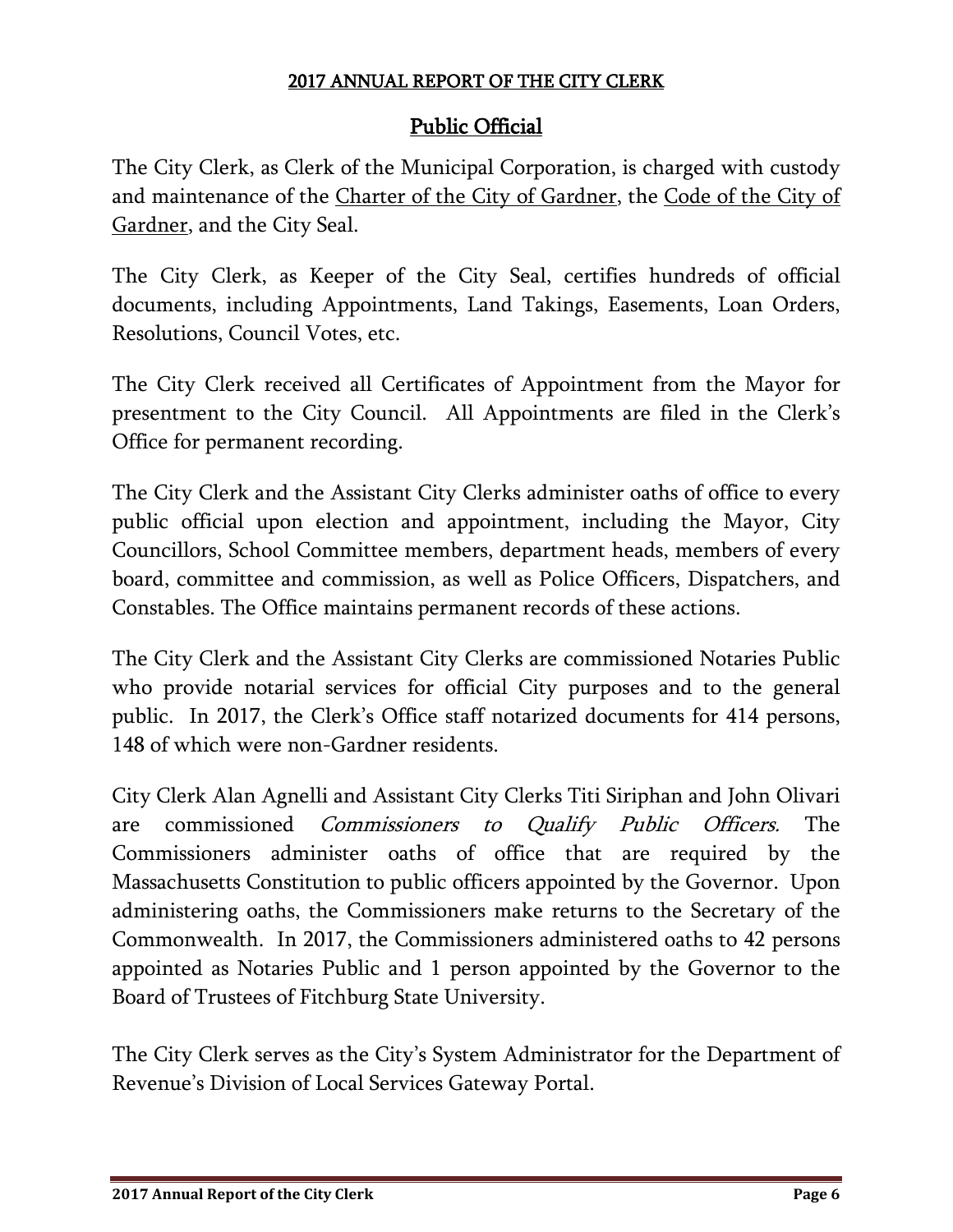### Public Official

The City Clerk, as Clerk of the Municipal Corporation, is charged with custody and maintenance of the Charter of the City of Gardner, the Code of the City of Gardner, and the City Seal.

The City Clerk, as Keeper of the City Seal, certifies hundreds of official documents, including Appointments, Land Takings, Easements, Loan Orders, Resolutions, Council Votes, etc.

The City Clerk received all Certificates of Appointment from the Mayor for presentment to the City Council. All Appointments are filed in the Clerk's Office for permanent recording.

The City Clerk and the Assistant City Clerks administer oaths of office to every public official upon election and appointment, including the Mayor, City Councillors, School Committee members, department heads, members of every board, committee and commission, as well as Police Officers, Dispatchers, and Constables. The Office maintains permanent records of these actions.

The City Clerk and the Assistant City Clerks are commissioned Notaries Public who provide notarial services for official City purposes and to the general public. In 2017, the Clerk's Office staff notarized documents for 414 persons, 148 of which were non-Gardner residents.

City Clerk Alan Agnelli and Assistant City Clerks Titi Siriphan and John Olivari are commissioned *Commissioners to Qualify Public Officers*. The Commissioners administer oaths of office that are required by the Massachusetts Constitution to public officers appointed by the Governor. Upon administering oaths, the Commissioners make returns to the Secretary of the Commonwealth. In 2017, the Commissioners administered oaths to 42 persons appointed as Notaries Public and 1 person appointed by the Governor to the Board of Trustees of Fitchburg State University.

The City Clerk serves as the City's System Administrator for the Department of Revenue's Division of Local Services Gateway Portal.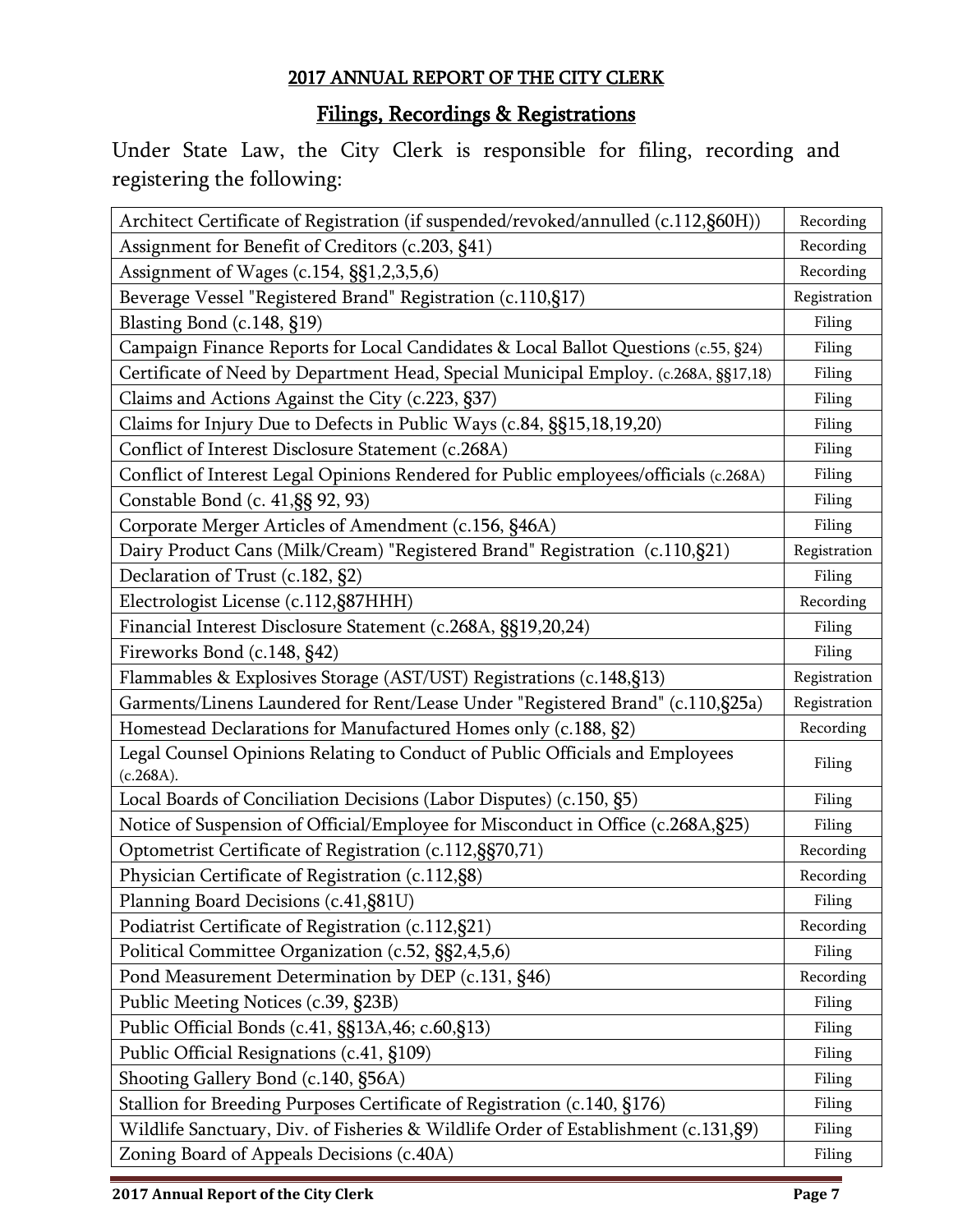## Filings, Recordings & Registrations

Under State Law, the City Clerk is responsible for filing, recording and registering the following:

| Architect Certificate of Registration (if suspended/revoked/annulled (c.112,§60H))        | Recording    |
|-------------------------------------------------------------------------------------------|--------------|
| Assignment for Benefit of Creditors (c.203, §41)                                          | Recording    |
| Assignment of Wages (c.154, §§1,2,3,5,6)                                                  | Recording    |
| Beverage Vessel "Registered Brand" Registration (c.110,§17)                               | Registration |
| Blasting Bond (c.148, §19)                                                                | Filing       |
| Campaign Finance Reports for Local Candidates & Local Ballot Questions (c.55, §24)        | Filing       |
| Certificate of Need by Department Head, Special Municipal Employ. (c.268A, §§17,18)       | Filing       |
| Claims and Actions Against the City (c.223, §37)                                          | Filing       |
| Claims for Injury Due to Defects in Public Ways (c.84, §§15,18,19,20)                     | Filing       |
| Conflict of Interest Disclosure Statement (c.268A)                                        | Filing       |
| Conflict of Interest Legal Opinions Rendered for Public employees/officials (c.268A)      | Filing       |
| Constable Bond (c. 41, §§ 92, 93)                                                         | Filing       |
| Corporate Merger Articles of Amendment (c.156, §46A)                                      | Filing       |
| Dairy Product Cans (Milk/Cream) "Registered Brand" Registration (c.110,§21)               | Registration |
| Declaration of Trust (c.182, §2)                                                          | Filing       |
| Electrologist License (c.112,§87HHH)                                                      | Recording    |
| Financial Interest Disclosure Statement (c.268A, §§19,20,24)                              | Filing       |
| Fireworks Bond (c.148, §42)                                                               | Filing       |
| Flammables & Explosives Storage (AST/UST) Registrations (c.148,§13)                       | Registration |
| Garments/Linens Laundered for Rent/Lease Under "Registered Brand" (c.110,§25a)            | Registration |
| Homestead Declarations for Manufactured Homes only (c.188, §2)                            | Recording    |
| Legal Counsel Opinions Relating to Conduct of Public Officials and Employees<br>(c.268A). | Filing       |
| Local Boards of Conciliation Decisions (Labor Disputes) (c.150, §5)                       | Filing       |
| Notice of Suspension of Official/Employee for Misconduct in Office (c.268A, §25)          | Filing       |
| Optometrist Certificate of Registration (c.112, §§70, 71)                                 | Recording    |
| Physician Certificate of Registration (c.112,§8)                                          | Recording    |
| Planning Board Decisions (c.41, §81U)                                                     | Filing       |
| Podiatrist Certificate of Registration (c.112, §21)                                       | Recording    |
| Political Committee Organization (c.52, §§2,4,5,6)                                        | Filing       |
| Pond Measurement Determination by DEP (c.131, §46)                                        | Recording    |
| Public Meeting Notices (c.39, §23B)                                                       | Filing       |
| Public Official Bonds (c.41, §§13A,46; c.60,§13)                                          | Filing       |
| Public Official Resignations (c.41, §109)                                                 | Filing       |
| Shooting Gallery Bond (c.140, §56A)                                                       | Filing       |
| Stallion for Breeding Purposes Certificate of Registration (c.140, §176)                  | Filing       |
| Wildlife Sanctuary, Div. of Fisheries & Wildlife Order of Establishment (c.131, §9)       | Filing       |
| Zoning Board of Appeals Decisions (c.40A)                                                 | Filing       |